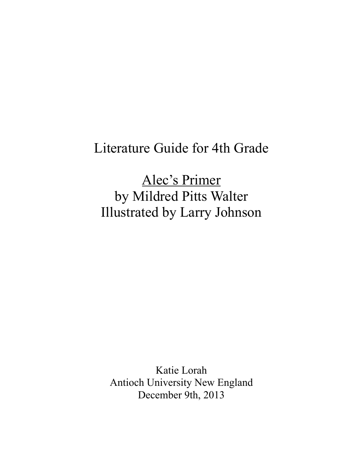# Literature Guide for 4th Grade

Alec's Primer by Mildred Pitts Walter Illustrated by Larry Johnson

Katie Lorah Antioch University New England December 9th, 2013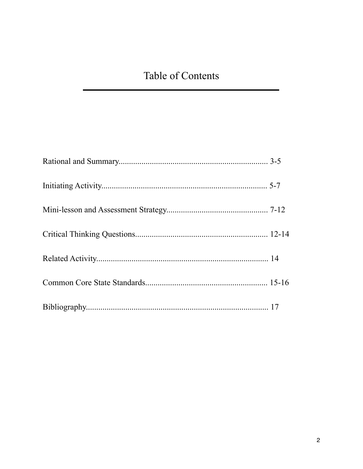## Table of Contents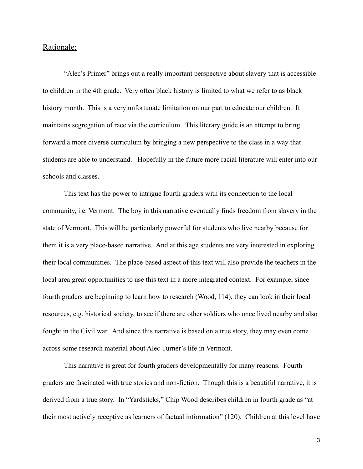#### Rationale:

 "Alec's Primer" brings out a really important perspective about slavery that is accessible to children in the 4th grade. Very often black history is limited to what we refer to as black history month. This is a very unfortunate limitation on our part to educate our children. It maintains segregation of race via the curriculum. This literary guide is an attempt to bring forward a more diverse curriculum by bringing a new perspective to the class in a way that students are able to understand. Hopefully in the future more racial literature will enter into our schools and classes.

 This text has the power to intrigue fourth graders with its connection to the local community, i.e. Vermont. The boy in this narrative eventually finds freedom from slavery in the state of Vermont. This will be particularly powerful for students who live nearby because for them it is a very place-based narrative. And at this age students are very interested in exploring their local communities. The place-based aspect of this text will also provide the teachers in the local area great opportunities to use this text in a more integrated context. For example, since fourth graders are beginning to learn how to research (Wood, 114), they can look in their local resources, e.g. historical society, to see if there are other soldiers who once lived nearby and also fought in the Civil war. And since this narrative is based on a true story, they may even come across some research material about Alec Turner's life in Vermont.

 This narrative is great for fourth graders developmentally for many reasons. Fourth graders are fascinated with true stories and non-fiction. Though this is a beautiful narrative, it is derived from a true story. In "Yardsticks," Chip Wood describes children in fourth grade as "at their most actively receptive as learners of factual information" (120). Children at this level have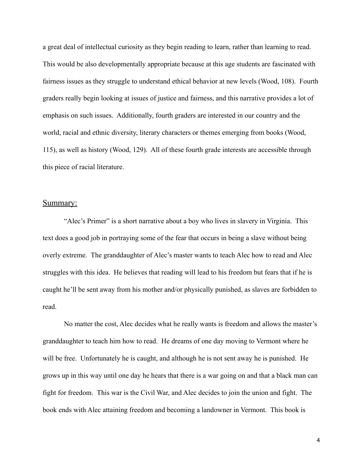a great deal of intellectual curiosity as they begin reading to learn, rather than learning to read. This would be also developmentally appropriate because at this age students are fascinated with fairness issues as they struggle to understand ethical behavior at new levels (Wood, 108). Fourth graders really begin looking at issues of justice and fairness, and this narrative provides a lot of emphasis on such issues. Additionally, fourth graders are interested in our country and the world, racial and ethnic diversity, literary characters or themes emerging from books (Wood, 115), as well as history (Wood, 129). All of these fourth grade interests are accessible through this piece of racial literature.

#### Summary:

 "Alec's Primer" is a short narrative about a boy who lives in slavery in Virginia. This text does a good job in portraying some of the fear that occurs in being a slave without being overly extreme. The granddaughter of Alec's master wants to teach Alec how to read and Alec struggles with this idea. He believes that reading will lead to his freedom but fears that if he is caught he'll be sent away from his mother and/or physically punished, as slaves are forbidden to read.

 No matter the cost, Alec decides what he really wants is freedom and allows the master's granddaughter to teach him how to read. He dreams of one day moving to Vermont where he will be free. Unfortunately he is caught, and although he is not sent away he is punished. He grows up in this way until one day he hears that there is a war going on and that a black man can fight for freedom. This war is the Civil War, and Alec decides to join the union and fight. The book ends with Alec attaining freedom and becoming a landowner in Vermont. This book is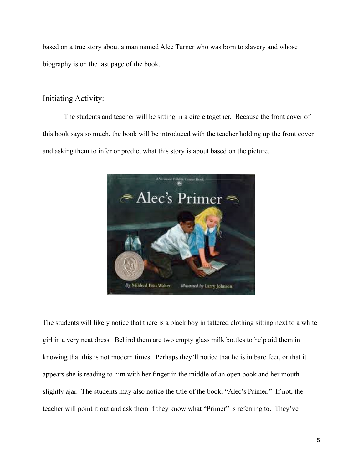based on a true story about a man named Alec Turner who was born to slavery and whose biography is on the last page of the book.

## Initiating Activity:

 The students and teacher will be sitting in a circle together. Because the front cover of this book says so much, the book will be introduced with the teacher holding up the front cover and asking them to infer or predict what this story is about based on the picture.



The students will likely notice that there is a black boy in tattered clothing sitting next to a white girl in a very neat dress. Behind them are two empty glass milk bottles to help aid them in knowing that this is not modern times. Perhaps they'll notice that he is in bare feet, or that it appears she is reading to him with her finger in the middle of an open book and her mouth slightly ajar. The students may also notice the title of the book, "Alec's Primer." If not, the teacher will point it out and ask them if they know what "Primer" is referring to. They've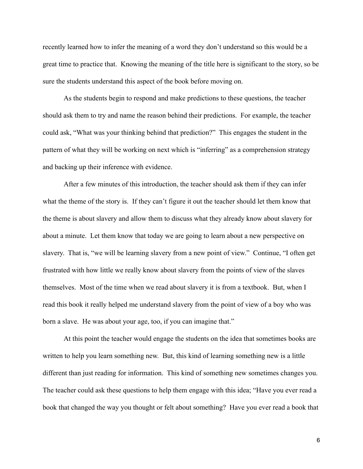recently learned how to infer the meaning of a word they don't understand so this would be a great time to practice that. Knowing the meaning of the title here is significant to the story, so be sure the students understand this aspect of the book before moving on.

 As the students begin to respond and make predictions to these questions, the teacher should ask them to try and name the reason behind their predictions. For example, the teacher could ask, "What was your thinking behind that prediction?" This engages the student in the pattern of what they will be working on next which is "inferring" as a comprehension strategy and backing up their inference with evidence.

 After a few minutes of this introduction, the teacher should ask them if they can infer what the theme of the story is. If they can't figure it out the teacher should let them know that the theme is about slavery and allow them to discuss what they already know about slavery for about a minute. Let them know that today we are going to learn about a new perspective on slavery. That is, "we will be learning slavery from a new point of view." Continue, "I often get frustrated with how little we really know about slavery from the points of view of the slaves themselves. Most of the time when we read about slavery it is from a textbook. But, when I read this book it really helped me understand slavery from the point of view of a boy who was born a slave. He was about your age, too, if you can imagine that."

 At this point the teacher would engage the students on the idea that sometimes books are written to help you learn something new. But, this kind of learning something new is a little different than just reading for information. This kind of something new sometimes changes you. The teacher could ask these questions to help them engage with this idea; "Have you ever read a book that changed the way you thought or felt about something? Have you ever read a book that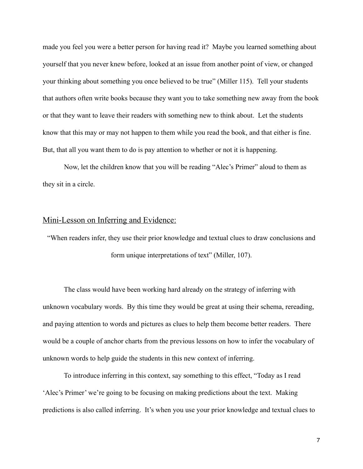made you feel you were a better person for having read it? Maybe you learned something about yourself that you never knew before, looked at an issue from another point of view, or changed your thinking about something you once believed to be true" (Miller 115). Tell your students that authors often write books because they want you to take something new away from the book or that they want to leave their readers with something new to think about. Let the students know that this may or may not happen to them while you read the book, and that either is fine. But, that all you want them to do is pay attention to whether or not it is happening.

 Now, let the children know that you will be reading "Alec's Primer" aloud to them as they sit in a circle.

#### Mini-Lesson on Inferring and Evidence:

"When readers infer, they use their prior knowledge and textual clues to draw conclusions and form unique interpretations of text" (Miller, 107).

 The class would have been working hard already on the strategy of inferring with unknown vocabulary words. By this time they would be great at using their schema, rereading, and paying attention to words and pictures as clues to help them become better readers. There would be a couple of anchor charts from the previous lessons on how to infer the vocabulary of unknown words to help guide the students in this new context of inferring.

 To introduce inferring in this context, say something to this effect, "Today as I read 'Alec's Primer' we're going to be focusing on making predictions about the text. Making predictions is also called inferring. It's when you use your prior knowledge and textual clues to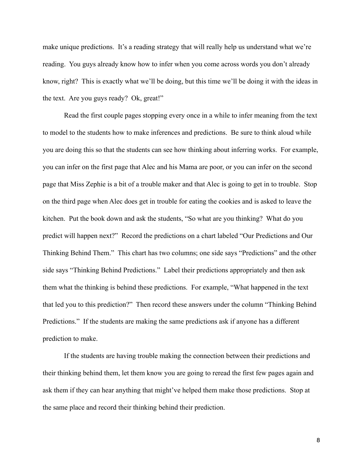make unique predictions. It's a reading strategy that will really help us understand what we're reading. You guys already know how to infer when you come across words you don't already know, right? This is exactly what we'll be doing, but this time we'll be doing it with the ideas in the text. Are you guys ready? Ok, great!"

 Read the first couple pages stopping every once in a while to infer meaning from the text to model to the students how to make inferences and predictions. Be sure to think aloud while you are doing this so that the students can see how thinking about inferring works. For example, you can infer on the first page that Alec and his Mama are poor, or you can infer on the second page that Miss Zephie is a bit of a trouble maker and that Alec is going to get in to trouble. Stop on the third page when Alec does get in trouble for eating the cookies and is asked to leave the kitchen. Put the book down and ask the students, "So what are you thinking? What do you predict will happen next?" Record the predictions on a chart labeled "Our Predictions and Our Thinking Behind Them." This chart has two columns; one side says "Predictions" and the other side says "Thinking Behind Predictions." Label their predictions appropriately and then ask them what the thinking is behind these predictions. For example, "What happened in the text that led you to this prediction?" Then record these answers under the column "Thinking Behind Predictions." If the students are making the same predictions ask if anyone has a different prediction to make.

 If the students are having trouble making the connection between their predictions and their thinking behind them, let them know you are going to reread the first few pages again and ask them if they can hear anything that might've helped them make those predictions. Stop at the same place and record their thinking behind their prediction.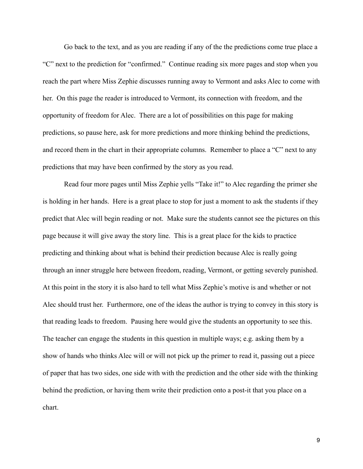Go back to the text, and as you are reading if any of the the predictions come true place a "C" next to the prediction for "confirmed." Continue reading six more pages and stop when you reach the part where Miss Zephie discusses running away to Vermont and asks Alec to come with her. On this page the reader is introduced to Vermont, its connection with freedom, and the opportunity of freedom for Alec. There are a lot of possibilities on this page for making predictions, so pause here, ask for more predictions and more thinking behind the predictions, and record them in the chart in their appropriate columns. Remember to place a "C" next to any predictions that may have been confirmed by the story as you read.

 Read four more pages until Miss Zephie yells "Take it!" to Alec regarding the primer she is holding in her hands. Here is a great place to stop for just a moment to ask the students if they predict that Alec will begin reading or not. Make sure the students cannot see the pictures on this page because it will give away the story line. This is a great place for the kids to practice predicting and thinking about what is behind their prediction because Alec is really going through an inner struggle here between freedom, reading, Vermont, or getting severely punished. At this point in the story it is also hard to tell what Miss Zephie's motive is and whether or not Alec should trust her. Furthermore, one of the ideas the author is trying to convey in this story is that reading leads to freedom. Pausing here would give the students an opportunity to see this. The teacher can engage the students in this question in multiple ways; e.g. asking them by a show of hands who thinks Alec will or will not pick up the primer to read it, passing out a piece of paper that has two sides, one side with with the prediction and the other side with the thinking behind the prediction, or having them write their prediction onto a post-it that you place on a chart.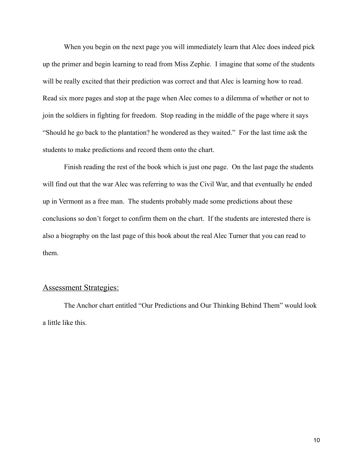When you begin on the next page you will immediately learn that Alec does indeed pick up the primer and begin learning to read from Miss Zephie. I imagine that some of the students will be really excited that their prediction was correct and that Alec is learning how to read. Read six more pages and stop at the page when Alec comes to a dilemma of whether or not to join the soldiers in fighting for freedom. Stop reading in the middle of the page where it says "Should he go back to the plantation? he wondered as they waited." For the last time ask the students to make predictions and record them onto the chart.

 Finish reading the rest of the book which is just one page. On the last page the students will find out that the war Alec was referring to was the Civil War, and that eventually he ended up in Vermont as a free man. The students probably made some predictions about these conclusions so don't forget to confirm them on the chart. If the students are interested there is also a biography on the last page of this book about the real Alec Turner that you can read to them.

#### Assessment Strategies:

 The Anchor chart entitled "Our Predictions and Our Thinking Behind Them" would look a little like this.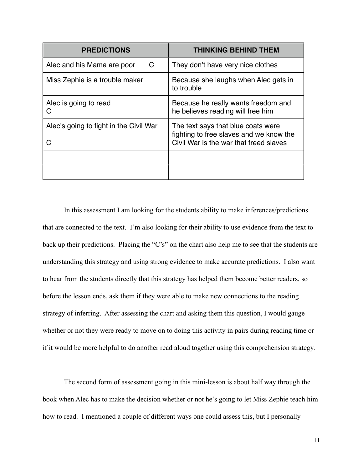| <b>PREDICTIONS</b>                     | <b>THINKING BEHIND THEM</b>                                                                                             |
|----------------------------------------|-------------------------------------------------------------------------------------------------------------------------|
| C.<br>Alec and his Mama are poor       | They don't have very nice clothes                                                                                       |
| Miss Zephie is a trouble maker         | Because she laughs when Alec gets in<br>to trouble                                                                      |
| Alec is going to read<br>C             | Because he really wants freedom and<br>he believes reading will free him                                                |
| Alec's going to fight in the Civil War | The text says that blue coats were<br>fighting to free slaves and we know the<br>Civil War is the war that freed slaves |
|                                        |                                                                                                                         |
|                                        |                                                                                                                         |

 In this assessment I am looking for the students ability to make inferences/predictions that are connected to the text. I'm also looking for their ability to use evidence from the text to back up their predictions. Placing the "C's" on the chart also help me to see that the students are understanding this strategy and using strong evidence to make accurate predictions. I also want to hear from the students directly that this strategy has helped them become better readers, so before the lesson ends, ask them if they were able to make new connections to the reading strategy of inferring. After assessing the chart and asking them this question, I would gauge whether or not they were ready to move on to doing this activity in pairs during reading time or if it would be more helpful to do another read aloud together using this comprehension strategy.

 The second form of assessment going in this mini-lesson is about half way through the book when Alec has to make the decision whether or not he's going to let Miss Zephie teach him how to read. I mentioned a couple of different ways one could assess this, but I personally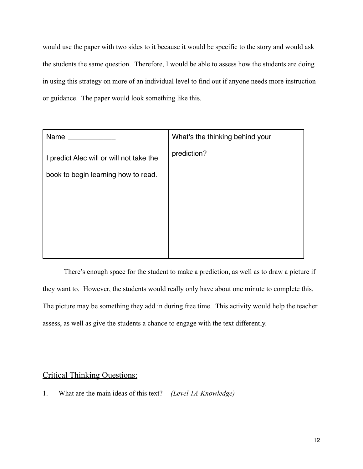would use the paper with two sides to it because it would be specific to the story and would ask the students the same question. Therefore, I would be able to assess how the students are doing in using this strategy on more of an individual level to find out if anyone needs more instruction or guidance. The paper would look something like this.

| Name                                                                            | What's the thinking behind your |
|---------------------------------------------------------------------------------|---------------------------------|
| I predict Alec will or will not take the<br>book to begin learning how to read. | prediction?                     |
|                                                                                 |                                 |

 There's enough space for the student to make a prediction, as well as to draw a picture if they want to. However, the students would really only have about one minute to complete this. The picture may be something they add in during free time. This activity would help the teacher assess, as well as give the students a chance to engage with the text differently.

#### Critical Thinking Questions:

1. What are the main ideas of this text? *(Level 1A-Knowledge)*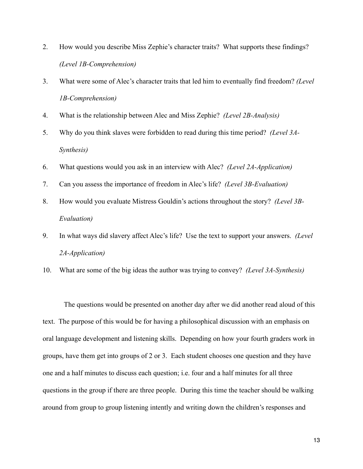- 2. How would you describe Miss Zephie's character traits? What supports these findings? *(Level 1B-Comprehension)*
- 3. What were some of Alec's character traits that led him to eventually find freedom? *(Level 1B-Comprehension)*
- 4. What is the relationship between Alec and Miss Zephie? *(Level 2B-Analysis)*
- 5. Why do you think slaves were forbidden to read during this time period? *(Level 3A-Synthesis)*
- 6. What questions would you ask in an interview with Alec? *(Level 2A-Application)*
- 7. Can you assess the importance of freedom in Alec's life? *(Level 3B-Evaluation)*
- 8. How would you evaluate Mistress Gouldin's actions throughout the story? *(Level 3B-Evaluation)*
- 9. In what ways did slavery affect Alec's life? Use the text to support your answers. *(Level 2A-Application)*
- 10. What are some of the big ideas the author was trying to convey? *(Level 3A-Synthesis)*

 The questions would be presented on another day after we did another read aloud of this text. The purpose of this would be for having a philosophical discussion with an emphasis on oral language development and listening skills. Depending on how your fourth graders work in groups, have them get into groups of 2 or 3. Each student chooses one question and they have one and a half minutes to discuss each question; i.e. four and a half minutes for all three questions in the group if there are three people. During this time the teacher should be walking around from group to group listening intently and writing down the children's responses and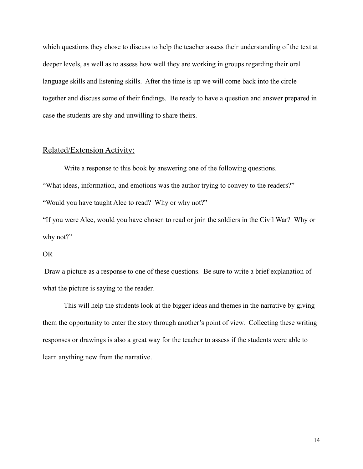which questions they chose to discuss to help the teacher assess their understanding of the text at deeper levels, as well as to assess how well they are working in groups regarding their oral language skills and listening skills. After the time is up we will come back into the circle together and discuss some of their findings. Be ready to have a question and answer prepared in case the students are shy and unwilling to share theirs.

#### Related/Extension Activity:

 Write a response to this book by answering one of the following questions. "What ideas, information, and emotions was the author trying to convey to the readers?" "Would you have taught Alec to read? Why or why not?"

"If you were Alec, would you have chosen to read or join the soldiers in the Civil War? Why or why not?"

#### OR

 Draw a picture as a response to one of these questions. Be sure to write a brief explanation of what the picture is saying to the reader.

 This will help the students look at the bigger ideas and themes in the narrative by giving them the opportunity to enter the story through another's point of view. Collecting these writing responses or drawings is also a great way for the teacher to assess if the students were able to learn anything new from the narrative.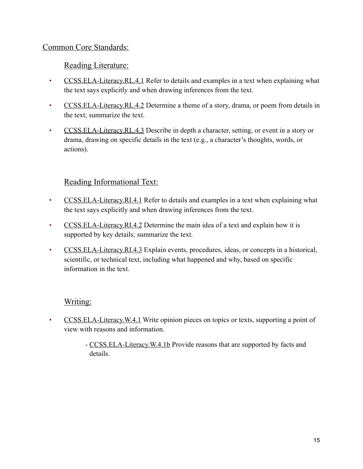## Common Core Standards:

## Reading Literature:

- [CCSS.ELA-Literacy.RL.4.1](http://www.corestandards.org/ELA-Literacy/RL/4/1/) Refer to details and examples in a text when explaining what the text says explicitly and when drawing inferences from the text.
- [CCSS.ELA-Literacy.RL.4.2](http://www.corestandards.org/ELA-Literacy/RL/4/2/) Determine a theme of a story, drama, or poem from details in the text; summarize the text.
- [CCSS.ELA-Literacy.RL.4.3](http://www.corestandards.org/ELA-Literacy/RL/4/3/) Describe in depth a character, setting, or event in a story or drama, drawing on specific details in the text (e.g., a character's thoughts, words, or actions).

## Reading Informational Text:

- [CCSS.ELA-Literacy.RI.4.1](http://www.corestandards.org/ELA-Literacy/RI/4/1/) Refer to details and examples in a text when explaining what the text says explicitly and when drawing inferences from the text.
- [CCSS.ELA-Literacy.RI.4.2](http://www.corestandards.org/ELA-Literacy/RI/4/2/) Determine the main idea of a text and explain how it is supported by key details; summarize the text.
- [CCSS.ELA-Literacy.RI.4.3](http://www.corestandards.org/ELA-Literacy/RI/4/3/) Explain events, procedures, ideas, or concepts in a historical, scientific, or technical text, including what happened and why, based on specific information in the text.

## Writing:

- [CCSS.ELA-Literacy.W.4.1](http://www.corestandards.org/ELA-Literacy/W/4/1/) Write opinion pieces on topics or texts, supporting a point of view with reasons and information.
	- [CCSS.ELA-Literacy.W.4.1b](http://www.corestandards.org/ELA-Literacy/W/4/1/b/) Provide reasons that are supported by facts and details.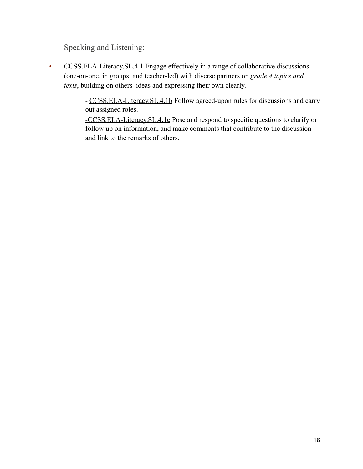## Speaking and Listening:

• [CCSS.ELA-Literacy.SL.4.1](http://www.corestandards.org/ELA-Literacy/SL/4/1/) Engage effectively in a range of collaborative discussions (one-on-one, in groups, and teacher-led) with diverse partners on *grade 4 topics and texts*, building on others' ideas and expressing their own clearly.

> - [CCSS.ELA-Literacy.SL.4.1b](http://www.corestandards.org/ELA-Literacy/SL/4/1/b/) Follow agreed-upon rules for discussions and carry out assigned roles.

[-CCSS.ELA-Literacy.SL.4.1c](http://www.corestandards.org/ELA-Literacy/SL/4/1/c/) Pose and respond to specific questions to clarify or follow up on information, and make comments that contribute to the discussion and link to the remarks of others.